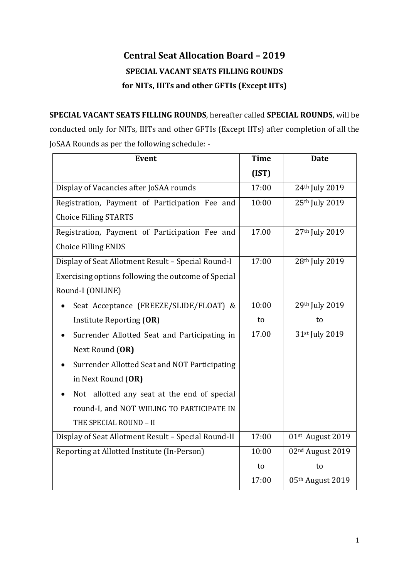# **Central Seat Allocation Board – 2019 SPECIAL VACANT SEATS FILLING ROUNDS for NITs, IIITs and other GFTIs (Except IITs)**

**SPECIAL VACANT SEATS FILLING ROUNDS**, hereafter called **SPECIAL ROUNDS**, will be conducted only for NITs, IIITs and other GFTIs (Except IITs) after completion of all the JoSAA Rounds as per the following schedule: -

| <b>Event</b>                                        | <b>Time</b> | <b>Date</b>                  |
|-----------------------------------------------------|-------------|------------------------------|
|                                                     | (IST)       |                              |
| Display of Vacancies after JoSAA rounds             | 17:00       | 24th July 2019               |
| Registration, Payment of Participation Fee and      | 10:00       | 25th July 2019               |
| <b>Choice Filling STARTS</b>                        |             |                              |
| Registration, Payment of Participation Fee and      | 17.00       | 27th July 2019               |
| <b>Choice Filling ENDS</b>                          |             |                              |
| Display of Seat Allotment Result - Special Round-I  | 17:00       | 28th July 2019               |
| Exercising options following the outcome of Special |             |                              |
| Round-I (ONLINE)                                    |             |                              |
| Seat Acceptance (FREEZE/SLIDE/FLOAT) &              | 10:00       | 29th July 2019               |
| Institute Reporting (OR)                            | to          | to                           |
| Surrender Allotted Seat and Participating in<br>٠   | 17.00       | 31st July 2019               |
| Next Round (OR)                                     |             |                              |
| Surrender Allotted Seat and NOT Participating<br>٠  |             |                              |
| in Next Round (OR)                                  |             |                              |
| Not allotted any seat at the end of special         |             |                              |
| round-I, and NOT WIILING TO PARTICIPATE IN          |             |                              |
| THE SPECIAL ROUND - II                              |             |                              |
| Display of Seat Allotment Result - Special Round-II | 17:00       | 01st August 2019             |
| Reporting at Allotted Institute (In-Person)         | 10:00       | 02 <sup>nd</sup> August 2019 |
|                                                     | to          | to                           |
|                                                     | 17:00       | 05th August 2019             |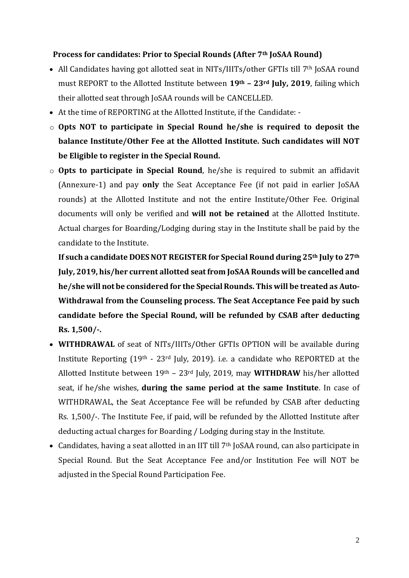#### **Process for candidates: Prior to Special Rounds (After 7th JoSAA Round)**

- All Candidates having got allotted seat in NITs/IIITs/other GFTIs till 7<sup>th</sup> JoSAA round must REPORT to the Allotted Institute between **19th – 23rd July, 2019**, failing which their allotted seat through JoSAA rounds will be CANCELLED.
- At the time of REPORTING at the Allotted Institute, if the Candidate: -
- o **Opts NOT to participate in Special Round he/she is required to deposit the balance Institute/Other Fee at the Allotted Institute. Such candidates will NOT be Eligible to register in the Special Round.**
- o **Opts to participate in Special Round**, he/she is required to submit an affidavit (Annexure-1) and pay **only** the Seat Acceptance Fee (if not paid in earlier JoSAA rounds) at the Allotted Institute and not the entire Institute/Other Fee. Original documents will only be verified and **will not be retained** at the Allotted Institute. Actual charges for Boarding/Lodging during stay in the Institute shall be paid by the candidate to the Institute.

**If such a candidate DOES NOT REGISTER for Special Round during 25th July to 27th July, 2019, his/her current allotted seat from JoSAA Rounds will be cancelled and he/she will not be considered for the Special Rounds. This will be treated as Auto-Withdrawal from the Counseling process. The Seat Acceptance Fee paid by such candidate before the Special Round, will be refunded by CSAB after deducting Rs. 1,500/-.**

- **WITHDRAWAL** of seat of NITs/IIITs/Other GFTIs OPTION will be available during Institute Reporting  $(19<sup>th</sup> - 23<sup>rd</sup>$  July, 2019). i.e. a candidate who REPORTED at the Allotted Institute between 19th – 23rd July, 2019, may **WITHDRAW** his/her allotted seat, if he/she wishes, **during the same period at the same Institute**. In case of WITHDRAWAL, the Seat Acceptance Fee will be refunded by CSAB after deducting Rs. 1,500/-. The Institute Fee, if paid, will be refunded by the Allotted Institute after deducting actual charges for Boarding / Lodging during stay in the Institute.
- Candidates, having a seat allotted in an IIT till 7<sup>th</sup> JoSAA round, can also participate in Special Round. But the Seat Acceptance Fee and/or Institution Fee will NOT be adjusted in the Special Round Participation Fee.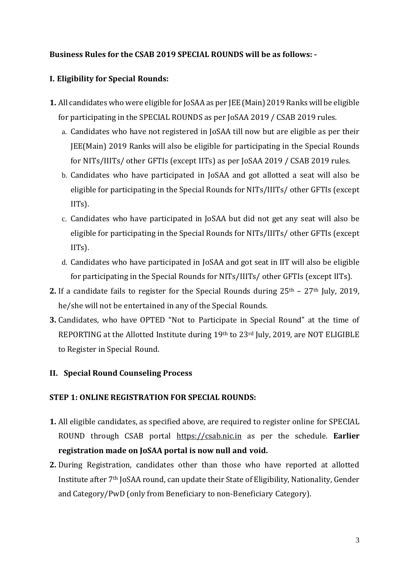### **Business Rules for the CSAB 2019 SPECIAL ROUNDS will be as follows: -**

### **I. Eligibility for Special Rounds:**

- **1.** All candidates who were eligible for JoSAA as per JEE (Main) 2019 Ranks will be eligible for participating in the SPECIAL ROUNDS as per JoSAA 2019 / CSAB 2019 rules.
	- a. Candidates who have not registered in JoSAA till now but are eligible as per their JEE(Main) 2019 Ranks will also be eligible for participating in the Special Rounds for NITs/IIITs/ other GFTIs (except IITs) as per JoSAA 2019 / CSAB 2019 rules.
	- b. Candidates who have participated in JoSAA and got allotted a seat will also be eligible for participating in the Special Rounds for NITs/IIITs/ other GFTIs (except IITs).
	- c. Candidates who have participated in JoSAA but did not get any seat will also be eligible for participating in the Special Rounds for NITs/IIITs/ other GFTIs (except IITs).
	- d. Candidates who have participated in JoSAA and got seat in IIT will also be eligible for participating in the Special Rounds for NITs/IIITs/ other GFTIs (except IITs).
- **2.** If a candidate fails to register for the Special Rounds during  $25<sup>th</sup> 27<sup>th</sup>$  July, 2019, he/she will not be entertained in any of the Special Rounds.
- **3.** Candidates, who have OPTED "Not to Participate in Special Round" at the time of REPORTING at the Allotted Institute during 19th to 23rd July, 2019, are NOT ELIGIBLE to Register in Special Round.

#### **II. Special Round Counseling Process**

#### **STEP 1: ONLINE REGISTRATION FOR SPECIAL ROUNDS:**

- **1.** All eligible candidates, as specified above, are required to register online for SPECIAL ROUND through CSAB portal https://csab.nic.in as per the schedule. **Earlier registration made on JoSAA portal is now null and void.**
- **2.** During Registration, candidates other than those who have reported at allotted Institute after 7th JoSAA round, can update their State of Eligibility, Nationality, Gender and Category/PwD (only from Beneficiary to non-Beneficiary Category).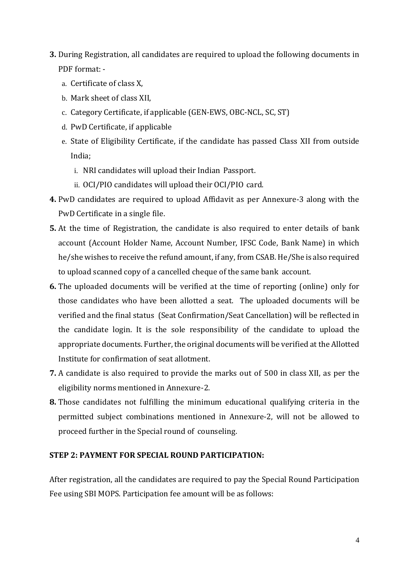- **3.** During Registration, all candidates are required to upload the following documents in PDF format:
	- a. Certificate of class X,
	- b. Mark sheet of class XII,
	- c. Category Certificate, if applicable (GEN-EWS, OBC-NCL, SC, ST)
	- d. PwD Certificate, if applicable
	- e. State of Eligibility Certificate, if the candidate has passed Class XII from outside India;
		- i. NRI candidates will upload their Indian Passport.
		- ii. OCI/PIO candidates will upload their OCI/PIO card.
- **4.** PwD candidates are required to upload Affidavit as per Annexure-3 along with the PwD Certificate in a single file.
- **5.** At the time of Registration, the candidate is also required to enter details of bank account (Account Holder Name, Account Number, IFSC Code, Bank Name) in which he/she wishes to receive the refund amount, if any, from CSAB. He/She is also required to upload scanned copy of a cancelled cheque of the same bank account.
- **6.** The uploaded documents will be verified at the time of reporting (online) only for those candidates who have been allotted a seat. The uploaded documents will be verified and the final status (Seat Confirmation/Seat Cancellation) will be reflected in the candidate login. It is the sole responsibility of the candidate to upload the appropriate documents. Further, the original documents will be verified at the Allotted Institute for confirmation of seat allotment.
- **7.** A candidate is also required to provide the marks out of 500 in class XII, as per the eligibility norms mentioned in Annexure-2.
- **8.** Those candidates not fulfilling the minimum educational qualifying criteria in the permitted subject combinations mentioned in Annexure-2, will not be allowed to proceed further in the Special round of counseling.

#### **STEP 2: PAYMENT FOR SPECIAL ROUND PARTICIPATION:**

After registration, all the candidates are required to pay the Special Round Participation Fee using SBI MOPS. Participation fee amount will be as follows: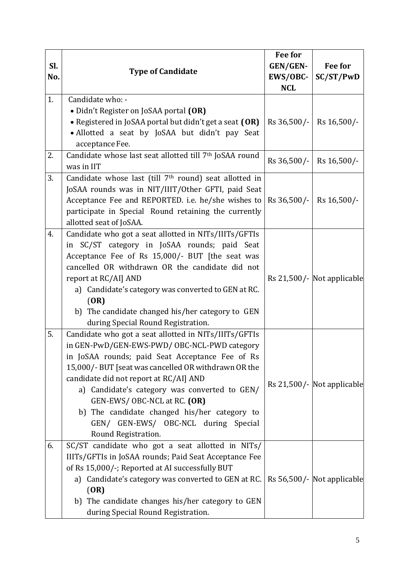| Sl.<br>No. | <b>Type of Candidate</b>                                                                                                                                                                                                                                                                                                                                                                                                                                 | <b>Fee for</b><br>GEN/GEN-<br>EWS/OBC-<br><b>NCL</b> | <b>Fee for</b><br>SC/ST/PwD           |
|------------|----------------------------------------------------------------------------------------------------------------------------------------------------------------------------------------------------------------------------------------------------------------------------------------------------------------------------------------------------------------------------------------------------------------------------------------------------------|------------------------------------------------------|---------------------------------------|
| 1.         | Candidate who: -<br>• Didn't Register on JoSAA portal (OR)<br>• Registered in JoSAA portal but didn't get a seat (OR)<br>• Allotted a seat by JoSAA but didn't pay Seat<br>acceptance Fee.                                                                                                                                                                                                                                                               | Rs 36,500/-                                          | Rs 16,500/-                           |
| 2.         | Candidate whose last seat allotted till 7th JoSAA round<br>was in IIT                                                                                                                                                                                                                                                                                                                                                                                    | Rs 36,500/-                                          | Rs 16,500/-                           |
| 3.         | Candidate whose last (till 7 <sup>th</sup> round) seat allotted in<br>JoSAA rounds was in NIT/IIIT/Other GFTI, paid Seat<br>Acceptance Fee and REPORTED. i.e. he/she wishes to<br>participate in Special Round retaining the currently<br>allotted seat of JoSAA.                                                                                                                                                                                        | Rs 36,500/-                                          | Rs 16,500/-                           |
| 4.         | Candidate who got a seat allotted in NITs/IIITs/GFTIs<br>in SC/ST category in JoSAA rounds; paid Seat<br>Acceptance Fee of Rs 15,000/- BUT [the seat was<br>cancelled OR withdrawn OR the candidate did not<br>report at RC/AI] AND<br>a) Candidate's category was converted to GEN at RC.<br>(OR)<br>b) The candidate changed his/her category to GEN<br>during Special Round Registration.                                                             |                                                      | Rs 21,500/- Not applicable            |
| 5.         | Candidate who got a seat allotted in NITs/IIITs/GFTIs<br>in GEN-PwD/GEN-EWS-PWD/ OBC-NCL-PWD category<br>in JoSAA rounds; paid Seat Acceptance Fee of Rs<br>15,000/-BUT [seat was cancelled OR withdrawn OR the<br>candidate did not report at RC/AI] AND<br>a) Candidate's category was converted to GEN/<br>GEN-EWS/OBC-NCL at RC. (OR)<br>b) The candidate changed his/her category to<br>GEN/ GEN-EWS/ OBC-NCL during Special<br>Round Registration. |                                                      | $\text{Rs } 21,500$ /- Not applicable |
| 6.         | SC/ST candidate who got a seat allotted in NITs/<br>IIITs/GFTIs in JoSAA rounds; Paid Seat Acceptance Fee<br>of Rs 15,000/-; Reported at AI successfully BUT<br>a) Candidate's category was converted to GEN at RC.<br>(OR)<br>b) The candidate changes his/her category to GEN<br>during Special Round Registration.                                                                                                                                    |                                                      | Rs 56,500/- Not applicable            |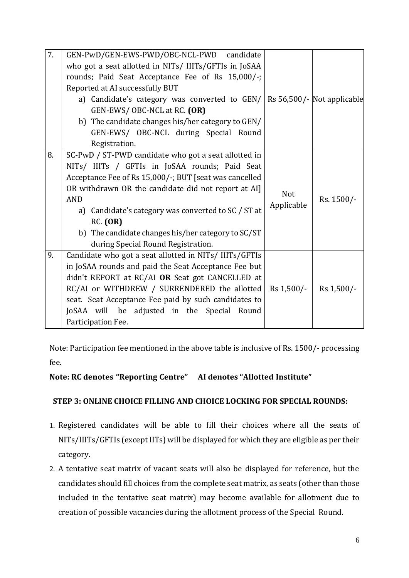| $\overline{7}$ . | GEN-PwD/GEN-EWS-PWD/OBC-NCL-PWD candidate                                  |                       |            |
|------------------|----------------------------------------------------------------------------|-----------------------|------------|
|                  | who got a seat allotted in NITs/ IIITs/GFTIs in JoSAA                      |                       |            |
|                  | rounds; Paid Seat Acceptance Fee of Rs 15,000/-;                           |                       |            |
|                  | Reported at AI successfully BUT                                            |                       |            |
|                  | a) Candidate's category was converted to $GEN/$ Rs 56,500/- Not applicable |                       |            |
|                  | GEN-EWS/OBC-NCL at RC. (OR)                                                |                       |            |
|                  | b) The candidate changes his/her category to GEN/                          |                       |            |
|                  | GEN-EWS/ OBC-NCL during Special Round                                      |                       |            |
|                  | Registration.                                                              |                       |            |
| 8.               | SC-PwD / ST-PWD candidate who got a seat allotted in                       |                       |            |
|                  | NITs/ IIITs / GFTIs in JoSAA rounds; Paid Seat                             |                       |            |
|                  | Acceptance Fee of Rs 15,000/-; BUT [seat was cancelled                     |                       |            |
|                  | OR withdrawn OR the candidate did not report at AI]                        | Not                   |            |
|                  | <b>AND</b>                                                                 | Applicable            | Rs. 1500/- |
|                  | a) Candidate's category was converted to SC / ST at                        |                       |            |
|                  | RC. (OR)                                                                   |                       |            |
|                  | b) The candidate changes his/her category to SC/ST                         |                       |            |
|                  | during Special Round Registration.                                         |                       |            |
| 9.               | Candidate who got a seat allotted in NITs/ IIITs/GFTIs                     |                       |            |
|                  | in JoSAA rounds and paid the Seat Acceptance Fee but                       |                       |            |
|                  | didn't REPORT at RC/AI OR Seat got CANCELLED at                            |                       |            |
|                  | RC/AI or WITHDREW / SURRENDERED the allotted                               | $\text{Rs } 1,500$ /- | Rs 1,500/- |
|                  | seat. Seat Acceptance Fee paid by such candidates to                       |                       |            |
|                  | JoSAA will be adjusted in the Special Round                                |                       |            |
|                  | Participation Fee.                                                         |                       |            |

Note: Participation fee mentioned in the above table is inclusive of Rs. 1500/- processing fee.

### **Note: RC denotes "Reporting Centre" AI denotes "Allotted Institute"**

### **STEP 3: ONLINE CHOICE FILLING AND CHOICE LOCKING FOR SPECIAL ROUNDS:**

- 1. Registered candidates will be able to fill their choices where all the seats of NITs/IIITs/GFTIs (except IITs) will be displayed for which they are eligible as per their category.
- 2. A tentative seat matrix of vacant seats will also be displayed for reference, but the candidates should fill choices from the complete seat matrix, as seats (other than those included in the tentative seat matrix) may become available for allotment due to creation of possible vacancies during the allotment process of the Special Round.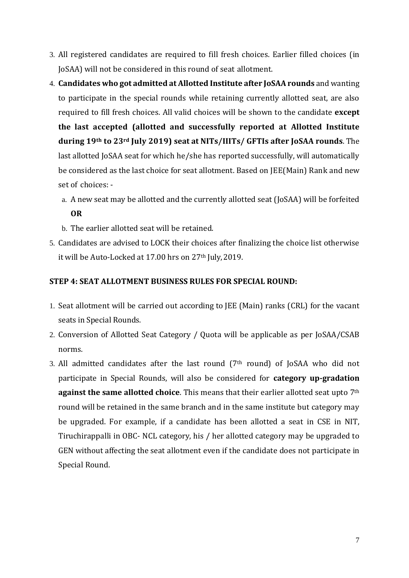- 3. All registered candidates are required to fill fresh choices. Earlier filled choices (in JoSAA) will not be considered in this round of seat allotment.
- 4. **Candidates who got admitted at Allotted Institute after JoSAA rounds** and wanting to participate in the special rounds while retaining currently allotted seat, are also required to fill fresh choices. All valid choices will be shown to the candidate **except the last accepted (allotted and successfully reported at Allotted Institute during 19th to 23rd July 2019) seat at NITs/IIITs/ GFTIs after JoSAA rounds**. The last allotted JoSAA seat for which he/she has reported successfully, will automatically be considered as the last choice for seat allotment. Based on JEE(Main) Rank and new set of choices:
	- a. A new seat may be allotted and the currently allotted seat (JoSAA) will be forfeited **OR**
	- b. The earlier allotted seat will be retained.
- 5. Candidates are advised to LOCK their choices after finalizing the choice list otherwise it will be Auto-Locked at 17.00 hrs on 27<sup>th</sup> July, 2019.

#### **STEP 4: SEAT ALLOTMENT BUSINESS RULES FOR SPECIAL ROUND:**

- 1. Seat allotment will be carried out according to JEE (Main) ranks (CRL) for the vacant seats in Special Rounds.
- 2. Conversion of Allotted Seat Category / Quota will be applicable as per JoSAA/CSAB norms.
- 3. All admitted candidates after the last round  $(7<sup>th</sup>$  round) of JoSAA who did not participate in Special Rounds, will also be considered for **category up-gradation against the same allotted choice**. This means that their earlier allotted seat upto 7<sup>th</sup> round will be retained in the same branch and in the same institute but category may be upgraded. For example, if a candidate has been allotted a seat in CSE in NIT, Tiruchirappalli in OBC- NCL category, his / her allotted category may be upgraded to GEN without affecting the seat allotment even if the candidate does not participate in Special Round.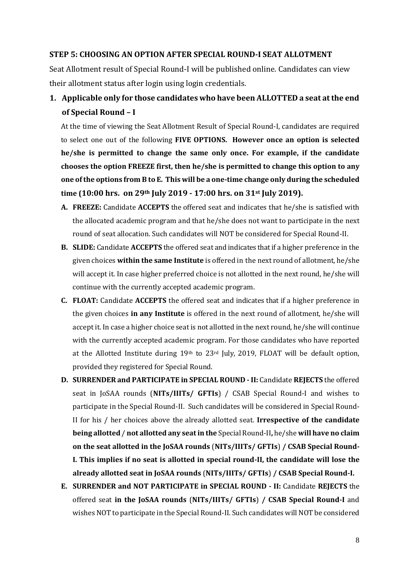#### **STEP 5: CHOOSING AN OPTION AFTER SPECIAL ROUND-I SEAT ALLOTMENT**

Seat Allotment result of Special Round-I will be published online. Candidates can view their allotment status after login using login credentials.

## **1. Applicable only for those candidates who have been ALLOTTED a seat at the end of Special Round – I**

At the time of viewing the Seat Allotment Result of Special Round-I, candidates are required to select one out of the following **FIVE OPTIONS. However once an option is selected he/she is permitted to change the same only once. For example, if the candidate chooses the option FREEZE first, then he/she is permitted to change this option to any one ofthe options from B to E. This will be a one-time change only during the scheduled time (10:00 hrs. on 29th July 2019 - 17:00 hrs. on 31st July 2019).**

- **A. FREEZE:** Candidate **ACCEPTS** the offered seat and indicates that he/she is satisfied with the allocated academic program and that he/she does not want to participate in the next round of seat allocation. Such candidates will NOT be considered for Special Round-II.
- **B. SLIDE:** Candidate **ACCEPTS** the offered seat and indicates that if a higher preference in the given choices **within the same Institute** is offered in the next round of allotment, he/she will accept it. In case higher preferred choice is not allotted in the next round, he/she will continue with the currently accepted academic program.
- **C. FLOAT:** Candidate **ACCEPTS** the offered seat and indicates that if a higher preference in the given choices **in any Institute** is offered in the next round of allotment, he/she will accept it. In case a higher choice seat is not allotted in the next round, he/she will continue with the currently accepted academic program. For those candidates who have reported at the Allotted Institute during 19th to 23rd July, 2019, FLOAT will be default option, provided they registered for Special Round.
- **D. SURRENDER and PARTICIPATE in SPECIAL ROUND - II:** Candidate **REJECTS** the offered seat in JoSAA rounds (**NITs/IIITs/ GFTIs**) / CSAB Special Round-I and wishes to participate in the Special Round-II. Such candidates will be considered in Special Round-II for his / her choices above the already allotted seat. **Irrespective of the candidate being allotted** / **not allotted any seat in the** Special Round-II**,** he/she **will have no claim on the seat allotted in the JoSAA rounds** (**NITs/IIITs/ GFTIs**) **/ CSAB Special Round-I. This implies if no seat is allotted in special round-II, the candidate will lose the already allotted seat in JoSAA rounds** (**NITs/IIITs/ GFTIs**) **/ CSAB Special Round-I.**
- **E. SURRENDER and NOT PARTICIPATE in SPECIAL ROUND - II:** Candidate **REJECTS** the offered seat **in the JoSAA rounds** (**NITs/IIITs/ GFTIs**) **/ CSAB Special Round-I** and wishes NOT to participate in the Special Round-II. Such candidates will NOT be considered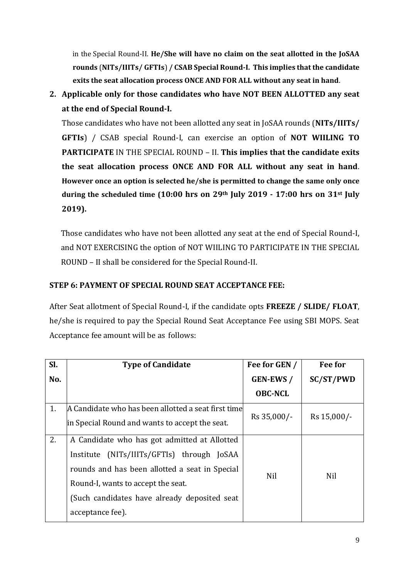in the Special Round-II. **He/She will have no claim on the seat allotted in the JoSAA rounds** (**NITs/IIITs/ GFTIs**) **/ CSAB Special Round-I. This implies that the candidate exits the seat allocation process ONCE AND FOR ALL without any seat in hand**.

**2. Applicable only for those candidates who have NOT BEEN ALLOTTED any seat at the end of Special Round-I.**

Those candidates who have not been allotted any seat in JoSAA rounds (**NITs/IIITs/ GFTIs**) / CSAB special Round-I, can exercise an option of **NOT WIILING TO PARTICIPATE** IN THE SPECIAL ROUND – II. **This implies that the candidate exits the seat allocation process ONCE AND FOR ALL without any seat in hand**. **However once an option is selected he/she is permitted to change the same only once during the scheduled time (10:00 hrs on 29th July 2019 - 17:00 hrs on 31st July 2019).**

Those candidates who have not been allotted any seat at the end of Special Round-I, and NOT EXERCISING the option of NOT WIILING TO PARTICIPATE IN THE SPECIAL ROUND – II shall be considered for the Special Round-II.

### **STEP 6: PAYMENT OF SPECIAL ROUND SEAT ACCEPTANCE FEE:**

After Seat allotment of Special Round-I, if the candidate opts **FREEZE / SLIDE/ FLOAT**, he/she is required to pay the Special Round Seat Acceptance Fee using SBI MOPS. Seat Acceptance fee amount will be as follows:

| SI. | <b>Type of Candidate</b>                            | Fee for GEN /   | Fee for     |
|-----|-----------------------------------------------------|-----------------|-------------|
| No. |                                                     | <b>GEN-EWS/</b> | SC/ST/PWD   |
|     |                                                     | <b>OBC-NCL</b>  |             |
| 1.  | A Candidate who has been allotted a seat first time |                 |             |
|     | in Special Round and wants to accept the seat.      | Rs 35,000/-     | Rs 15,000/- |
| 2.  | A Candidate who has got admitted at Allotted        |                 |             |
|     | Institute (NITs/IIITs/GFTIs) through JoSAA          |                 |             |
|     | rounds and has been allotted a seat in Special      | <b>Nil</b>      | <b>Nil</b>  |
|     | Round-I, wants to accept the seat.                  |                 |             |
|     | (Such candidates have already deposited seat        |                 |             |
|     | acceptance fee).                                    |                 |             |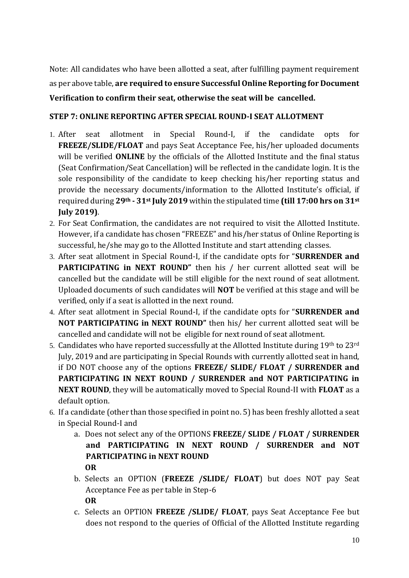Note: All candidates who have been allotted a seat, after fulfilling payment requirement as per above table, **are required to ensure Successful Online Reporting for Document Verification to confirm their seat, otherwise the seat will be cancelled.**

### **STEP 7: ONLINE REPORTING AFTER SPECIAL ROUND-I SEAT ALLOTMENT**

- 1. After seat allotment in Special Round-I, if the candidate opts for **FREEZE/SLIDE/FLOAT** and pays Seat Acceptance Fee, his/her uploaded documents will be verified **ONLINE** by the officials of the Allotted Institute and the final status (Seat Confirmation/Seat Cancellation) will be reflected in the candidate login. It is the sole responsibility of the candidate to keep checking his/her reporting status and provide the necessary documents/information to the Allotted Institute's official, if required during **29th - 31st July 2019** within the stipulated time **(till 17:00 hrs on 31st July 2019)**.
- 2. For Seat Confirmation, the candidates are not required to visit the Allotted Institute. However, if a candidate has chosen "FREEZE" and his/her status of Online Reporting is successful, he/she may go to the Allotted Institute and start attending classes.
- 3. After seat allotment in Special Round-I, if the candidate opts for "**SURRENDER and PARTICIPATING in NEXT ROUND"** then his / her current allotted seat will be cancelled but the candidate will be still eligible for the next round of seat allotment. Uploaded documents of such candidates will **NOT** be verified at this stage and will be verified, only if a seat is allotted in the next round.
- 4. After seat allotment in Special Round-I, if the candidate opts for "**SURRENDER and NOT PARTICIPATING in NEXT ROUND"** then his/ her current allotted seat will be cancelled and candidate will not be eligible for next round of seat allotment.
- 5. Candidates who have reported successfully at the Allotted Institute during 19th to 23rd July, 2019 and are participating in Special Rounds with currently allotted seat in hand, if DO NOT choose any of the options **FREEZE/ SLIDE/ FLOAT / SURRENDER and PARTICIPATING IN NEXT ROUND / SURRENDER and NOT PARTICIPATING in NEXT ROUND**, they will be automatically moved to Special Round-II with **FLOAT** as a default option.
- 6. If a candidate (other than those specified in point no. 5) has been freshly allotted a seat in Special Round-I and
	- a. Does not select any of the OPTIONS **FREEZE/ SLIDE / FLOAT / SURRENDER and PARTICIPATING IN NEXT ROUND / SURRENDER and NOT PARTICIPATING in NEXT ROUND OR**
	- b. Selects an OPTION (**FREEZE /SLIDE/ FLOAT**) but does NOT pay Seat Acceptance Fee as per table in Step-6 **OR**
	- c. Selects an OPTION **FREEZE /SLIDE/ FLOAT**, pays Seat Acceptance Fee but does not respond to the queries of Official of the Allotted Institute regarding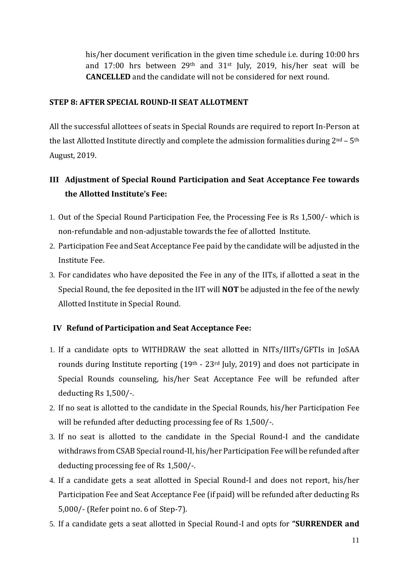his/her document verification in the given time schedule i.e. during 10:00 hrs and 17:00 hrs between 29th and 31st July, 2019, his/her seat will be **CANCELLED** and the candidate will not be considered for next round.

### **STEP 8: AFTER SPECIAL ROUND-II SEAT ALLOTMENT**

All the successful allottees of seats in Special Rounds are required to report In-Person at the last Allotted Institute directly and complete the admission formalities during  $2<sup>nd</sup> - 5<sup>th</sup>$ August, 2019.

# **III Adjustment of Special Round Participation and Seat Acceptance Fee towards the Allotted Institute's Fee:**

- 1. Out of the Special Round Participation Fee, the Processing Fee is Rs 1,500/- which is non-refundable and non-adjustable towards the fee of allotted Institute.
- 2. Participation Fee and Seat Acceptance Fee paid by the candidate will be adjusted in the Institute Fee.
- 3. For candidates who have deposited the Fee in any of the IITs, if allotted a seat in the Special Round, the fee deposited in the IIT will **NOT** be adjusted in the fee of the newly Allotted Institute in Special Round.

### **IV Refund of Participation and Seat Acceptance Fee:**

- 1. If a candidate opts to WITHDRAW the seat allotted in NITs/IIITs/GFTIs in JoSAA rounds during Institute reporting  $(19<sup>th</sup> - 23<sup>rd</sup>$  July, 2019) and does not participate in Special Rounds counseling, his/her Seat Acceptance Fee will be refunded after deducting Rs 1,500/-.
- 2. If no seat is allotted to the candidate in the Special Rounds, his/her Participation Fee will be refunded after deducting processing fee of Rs 1,500/-.
- 3. If no seat is allotted to the candidate in the Special Round-I and the candidate withdraws from CSAB Special round-II, his/her Participation Fee will be refunded after deducting processing fee of Rs 1,500/-.
- 4. If a candidate gets a seat allotted in Special Round-I and does not report, his/her Participation Fee and Seat Acceptance Fee (if paid) will be refunded after deducting Rs 5,000/- (Refer point no. 6 of Step-7).
- 5. If a candidate gets a seat allotted in Special Round-I and opts for **"SURRENDER and**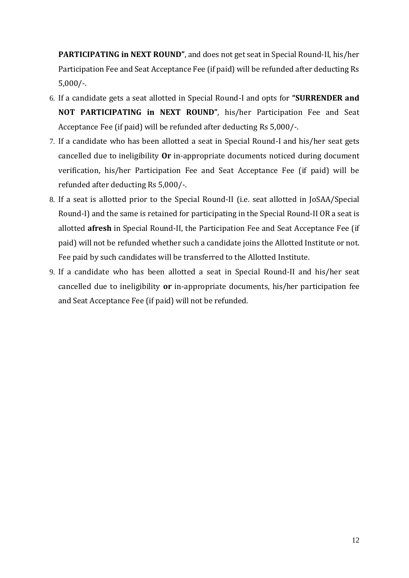**PARTICIPATING in NEXT ROUND"**, and does not get seat in Special Round-II, his/her Participation Fee and Seat Acceptance Fee (if paid) will be refunded after deducting Rs 5,000/-.

- 6. If a candidate gets a seat allotted in Special Round-I and opts for **"SURRENDER and NOT PARTICIPATING in NEXT ROUND"**, his/her Participation Fee and Seat Acceptance Fee (if paid) will be refunded after deducting Rs 5,000/-.
- 7. If a candidate who has been allotted a seat in Special Round-I and his/her seat gets cancelled due to ineligibility **Or** in-appropriate documents noticed during document verification, his/her Participation Fee and Seat Acceptance Fee (if paid) will be refunded after deducting Rs 5,000/-.
- 8. If a seat is allotted prior to the Special Round-II (i.e. seat allotted in JoSAA/Special Round-I) and the same is retained for participating in the Special Round-II OR a seat is allotted **afresh** in Special Round-II, the Participation Fee and Seat Acceptance Fee (if paid) will not be refunded whether such a candidate joins the Allotted Institute or not. Fee paid by such candidates will be transferred to the Allotted Institute.
- 9. If a candidate who has been allotted a seat in Special Round-II and his/her seat cancelled due to ineligibility **or** in-appropriate documents, his/her participation fee and Seat Acceptance Fee (if paid) will not be refunded.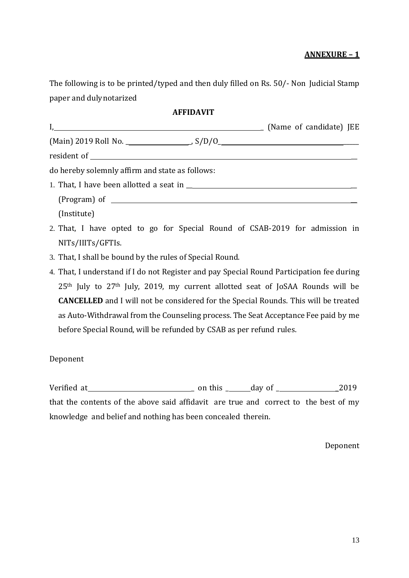### **ANNEXURE – 1**

The following is to be printed/typed and then duly filled on Rs. 50/- Non Judicial Stamp paper and dulynotarized

#### **AFFIDAVIT**

| I, [Mame of candidate] JEE                      |  |
|-------------------------------------------------|--|
|                                                 |  |
|                                                 |  |
| do hereby solemnly affirm and state as follows: |  |
|                                                 |  |
|                                                 |  |
| (Institute)                                     |  |

- 2. That, I have opted to go for Special Round of CSAB-2019 for admission in NITs/IIITs/GFTIs.
- 3. That, I shall be bound by the rules of Special Round.
- 4. That, I understand if I do not Register and pay Special Round Participation fee during 25th July to 27th July, 2019, my current allotted seat of JoSAA Rounds will be **CANCELLED** and I will not be considered for the Special Rounds. This will be treated as Auto-Withdrawal from the Counseling process. The Seat Acceptance Fee paid by me before Special Round, will be refunded by CSAB as per refund rules.

Deponent

Verified at \_ on this \_ day of \_ \_2019

that the contents of the above said affidavit are true and correct to the best of my knowledge and belief and nothing has been concealed therein.

Deponent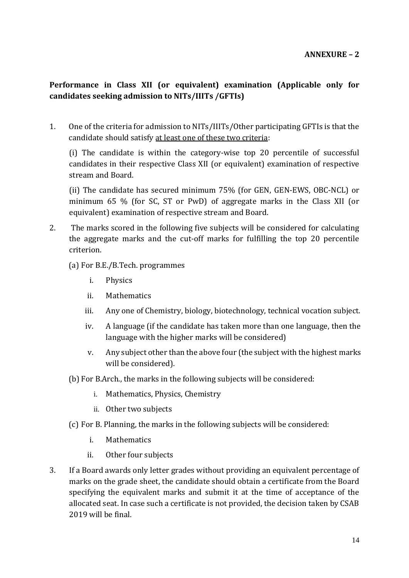### **Performance in Class XII (or equivalent) examination (Applicable only for candidates seeking admission to NITs/IIITs /GFTIs)**

1. One of the criteria for admission to NITs/IIITs/Other participating GFTIs is that the candidate should satisfy at least one of these two criteria:

(i) The candidate is within the category-wise top 20 percentile of successful candidates in their respective Class XII (or equivalent) examination of respective stream and Board.

(ii) The candidate has secured minimum 75% (for GEN, GEN-EWS, OBC-NCL) or minimum 65 % (for SC, ST or PwD) of aggregate marks in the Class XII (or equivalent) examination of respective stream and Board.

2. The marks scored in the following five subjects will be considered for calculating the aggregate marks and the cut-off marks for fulfilling the top 20 percentile criterion.

(a) For B.E./B.Tech. programmes

- i. Physics
- ii. Mathematics
- iii. Any one of Chemistry, biology, biotechnology, technical vocation subject.
- iv. A language (if the candidate has taken more than one language, then the language with the higher marks will be considered)
- v. Any subject other than the above four (the subject with the highest marks will be considered).
- (b) For B.Arch., the marks in the following subjects will be considered:
	- i. Mathematics, Physics, Chemistry
	- ii. Other two subjects
- (c) For B. Planning, the marks in the following subjects will be considered:
	- i. Mathematics
	- ii. Other four subjects
- 3. If a Board awards only letter grades without providing an equivalent percentage of marks on the grade sheet, the candidate should obtain a certificate from the Board specifying the equivalent marks and submit it at the time of acceptance of the allocated seat. In case such a certificate is not provided, the decision taken by CSAB 2019 will be final.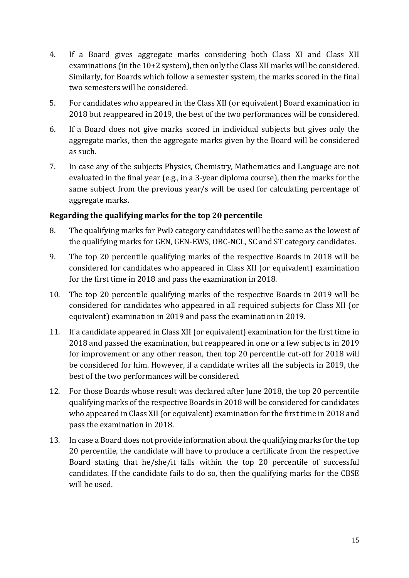- 4. If a Board gives aggregate marks considering both Class XI and Class XII examinations (in the 10+2 system), then only the Class XII marks will be considered. Similarly, for Boards which follow a semester system, the marks scored in the final two semesters will be considered.
- 5. For candidates who appeared in the Class XII (or equivalent) Board examination in 2018 but reappeared in 2019, the best of the two performances will be considered.
- 6. If a Board does not give marks scored in individual subjects but gives only the aggregate marks, then the aggregate marks given by the Board will be considered as such.
- 7. In case any of the subjects Physics, Chemistry, Mathematics and Language are not evaluated in the final year (e.g., in a 3-year diploma course), then the marks for the same subject from the previous year/s will be used for calculating percentage of aggregate marks.

### **Regarding the qualifying marks for the top 20 percentile**

- 8. The qualifying marks for PwD category candidates will be the same as the lowest of the qualifying marks for GEN, GEN-EWS, OBC-NCL, SC and ST category candidates.
- 9. The top 20 percentile qualifying marks of the respective Boards in 2018 will be considered for candidates who appeared in Class XII (or equivalent) examination for the first time in 2018 and pass the examination in 2018.
- 10. The top 20 percentile qualifying marks of the respective Boards in 2019 will be considered for candidates who appeared in all required subjects for Class XII (or equivalent) examination in 2019 and pass the examination in 2019.
- 11. If a candidate appeared in Class XII (or equivalent) examination for the first time in 2018 and passed the examination, but reappeared in one or a few subjects in 2019 for improvement or any other reason, then top 20 percentile cut-off for 2018 will be considered for him. However, if a candidate writes all the subjects in 2019, the best of the two performances will be considered.
- 12. For those Boards whose result was declared after June 2018, the top 20 percentile qualifying marks of the respective Boards in 2018 will be considered for candidates who appeared in Class XII (or equivalent) examination for the first time in 2018 and pass the examination in 2018.
- 13. In case a Board does not provide information about the qualifying marks for the top 20 percentile, the candidate will have to produce a certificate from the respective Board stating that he/she/it falls within the top 20 percentile of successful candidates. If the candidate fails to do so, then the qualifying marks for the CBSE will be used.